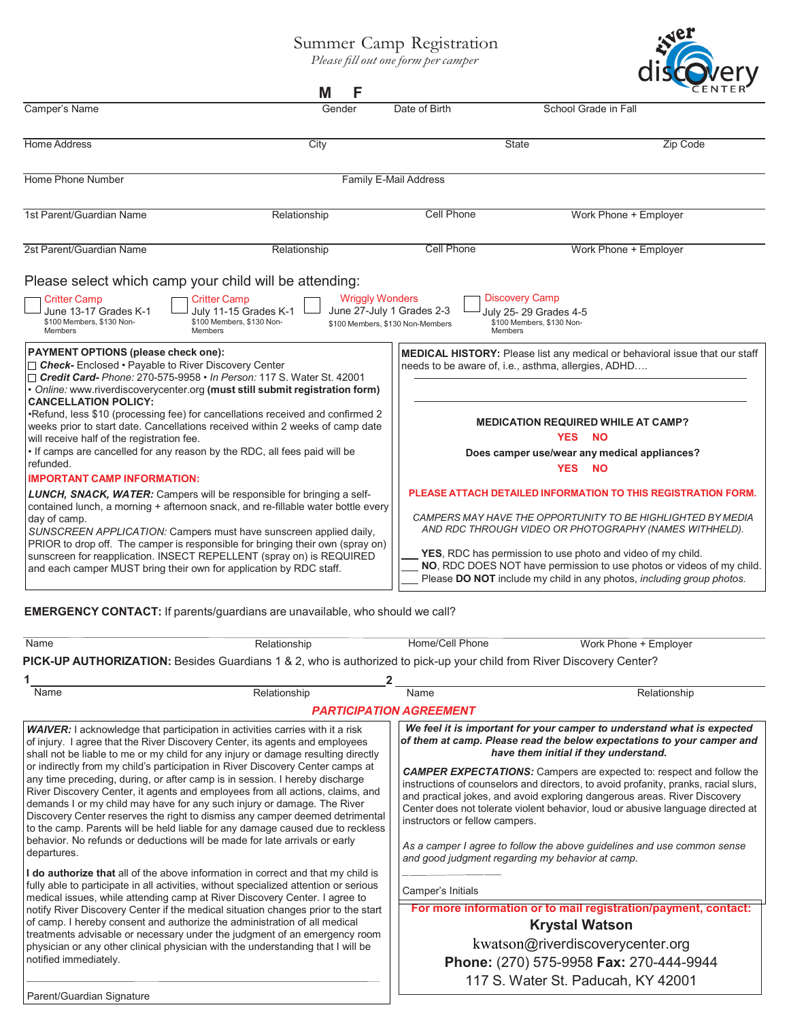## Summer Camp Registration

*Please filloutone form per camper*

|                                                                                                                                                                                                                                                                                                                                                                                                                                                                                                                      | F<br>М                                          |                                                                                 | uish                                                                                                                                                                                                                                                                                                                                                                                                    |                 |
|----------------------------------------------------------------------------------------------------------------------------------------------------------------------------------------------------------------------------------------------------------------------------------------------------------------------------------------------------------------------------------------------------------------------------------------------------------------------------------------------------------------------|-------------------------------------------------|---------------------------------------------------------------------------------|---------------------------------------------------------------------------------------------------------------------------------------------------------------------------------------------------------------------------------------------------------------------------------------------------------------------------------------------------------------------------------------------------------|-----------------|
| Camper's Name                                                                                                                                                                                                                                                                                                                                                                                                                                                                                                        | Gender                                          | Date of Birth                                                                   | School Grade in Fall                                                                                                                                                                                                                                                                                                                                                                                    |                 |
| <b>Home Address</b>                                                                                                                                                                                                                                                                                                                                                                                                                                                                                                  | City                                            |                                                                                 | State                                                                                                                                                                                                                                                                                                                                                                                                   | <b>Zip Code</b> |
| Home Phone Number                                                                                                                                                                                                                                                                                                                                                                                                                                                                                                    |                                                 | Family E-Mail Address                                                           |                                                                                                                                                                                                                                                                                                                                                                                                         |                 |
| 1st Parent/Guardian Name                                                                                                                                                                                                                                                                                                                                                                                                                                                                                             | Relationship                                    | <b>Cell Phone</b>                                                               | Work Phone + Employer                                                                                                                                                                                                                                                                                                                                                                                   |                 |
| 2st Parent/Guardian Name                                                                                                                                                                                                                                                                                                                                                                                                                                                                                             | Relationship                                    | Cell Phone                                                                      | Work Phone + Employer                                                                                                                                                                                                                                                                                                                                                                                   |                 |
| <b>Critter Camp</b><br><b>Critter Camp</b><br>June 13-17 Grades K-1<br>\$100 Members, \$130 Non-<br>\$100 Members, \$130 Non-<br>Members<br><b>Members</b><br><b>PAYMENT OPTIONS (please check one):</b><br>□ Check-Enclosed • Payable to River Discovery Center<br>□ Credit Card- Phone: 270-575-9958 • In Person: 117 S. Water St. 42001                                                                                                                                                                           | <b>Wriggly Wonders</b><br>July 11-15 Grades K-1 | June 27-July 1 Grades 2-3<br>\$100 Members, \$130 Non-Members<br><b>Members</b> | <b>Discovery Camp</b><br>July 25- 29 Grades 4-5<br>\$100 Members, \$130 Non-<br>MEDICAL HISTORY: Please list any medical or behavioral issue that our staff<br>needs to be aware of, i.e., asthma, allergies, ADHD                                                                                                                                                                                      |                 |
| . Online: www.riverdiscoverycenter.org (must still submit registration form)<br><b>CANCELLATION POLICY:</b><br>•Refund, less \$10 (processing fee) for cancellations received and confirmed 2<br>weeks prior to start date. Cancellations received within 2 weeks of camp date<br>will receive half of the registration fee.<br>. If camps are cancelled for any reason by the RDC, all fees paid will be<br>refunded.                                                                                               |                                                 |                                                                                 | <b>MEDICATION REQUIRED WHILE AT CAMP?</b><br><b>YES</b><br><b>NO</b><br>Does camper use/wear any medical appliances?<br><b>YES</b><br><b>NO</b>                                                                                                                                                                                                                                                         |                 |
| <b>IMPORTANT CAMP INFORMATION:</b><br>LUNCH, SNACK, WATER: Campers will be responsible for bringing a self-<br>contained lunch, a morning + afternoon snack, and re-fillable water bottle every<br>day of camp.<br>SUNSCREEN APPLICATION: Campers must have sunscreen applied daily,<br>PRIOR to drop off. The camper is responsible for bringing their own (spray on)<br>sunscreen for reapplication. INSECT REPELLENT (spray on) is REQUIRED<br>and each camper MUST bring their own for application by RDC staff. |                                                 |                                                                                 | PLEASE ATTACH DETAILED INFORMATION TO THIS REGISTRATION FORM.<br>CAMPERS MAY HAVE THE OPPORTUNITY TO BE HIGHLIGHTED BY MEDIA<br>AND RDC THROUGH VIDEO OR PHOTOGRAPHY (NAMES WITHHELD).<br>YES, RDC has permission to use photo and video of my child.<br>NO, RDC DOES NOT have permission to use photos or videos of my child.<br>Please DO NOT include my child in any photos, including group photos. |                 |

**EMERGENCY CONTACT:** If parents/guardians are unavailable, who should we call?

| Name                                                                                                                                                                                                                                                                                                                                                                                                                                                                                                                                                                                                               | Relationship                                                                                                                                                                                                                                              | Home/Cell Phone                                                                                                                                                                                                                                                                                                                                                                                                                                                                                                                                                                                                                                                                                                                          | Work Phone + Employer |  |  |  |  |
|--------------------------------------------------------------------------------------------------------------------------------------------------------------------------------------------------------------------------------------------------------------------------------------------------------------------------------------------------------------------------------------------------------------------------------------------------------------------------------------------------------------------------------------------------------------------------------------------------------------------|-----------------------------------------------------------------------------------------------------------------------------------------------------------------------------------------------------------------------------------------------------------|------------------------------------------------------------------------------------------------------------------------------------------------------------------------------------------------------------------------------------------------------------------------------------------------------------------------------------------------------------------------------------------------------------------------------------------------------------------------------------------------------------------------------------------------------------------------------------------------------------------------------------------------------------------------------------------------------------------------------------------|-----------------------|--|--|--|--|
| PICK-UP AUTHORIZATION: Besides Guardians 1 & 2, who is authorized to pick-up your child from River Discovery Center?                                                                                                                                                                                                                                                                                                                                                                                                                                                                                               |                                                                                                                                                                                                                                                           |                                                                                                                                                                                                                                                                                                                                                                                                                                                                                                                                                                                                                                                                                                                                          |                       |  |  |  |  |
|                                                                                                                                                                                                                                                                                                                                                                                                                                                                                                                                                                                                                    |                                                                                                                                                                                                                                                           |                                                                                                                                                                                                                                                                                                                                                                                                                                                                                                                                                                                                                                                                                                                                          |                       |  |  |  |  |
| Name                                                                                                                                                                                                                                                                                                                                                                                                                                                                                                                                                                                                               | Relationship                                                                                                                                                                                                                                              | Name                                                                                                                                                                                                                                                                                                                                                                                                                                                                                                                                                                                                                                                                                                                                     | Relationship          |  |  |  |  |
| <b>PARTICIPATION AGREEMENT</b>                                                                                                                                                                                                                                                                                                                                                                                                                                                                                                                                                                                     |                                                                                                                                                                                                                                                           |                                                                                                                                                                                                                                                                                                                                                                                                                                                                                                                                                                                                                                                                                                                                          |                       |  |  |  |  |
|                                                                                                                                                                                                                                                                                                                                                                                                                                                                                                                                                                                                                    | <b>WAIVER:</b> I acknowledge that participation in activities carries with it a risk<br>of injury. I agree that the River Discovery Center, its agents and employees<br>shall not be liable to me or my child for any injury or damage resulting directly | We feel it is important for your camper to understand what is expected<br>of them at camp. Please read the below expectations to your camper and<br>have them initial if they understand.                                                                                                                                                                                                                                                                                                                                                                                                                                                                                                                                                |                       |  |  |  |  |
| or indirectly from my child's participation in River Discovery Center camps at<br>any time preceding, during, or after camp is in session. I hereby discharge<br>River Discovery Center, it agents and employees from all actions, claims, and<br>demands I or my child may have for any such injury or damage. The River<br>Discovery Center reserves the right to dismiss any camper deemed detrimental<br>to the camp. Parents will be held liable for any damage caused due to reckless<br>behavior. No refunds or deductions will be made for late arrivals or early<br>departures.                           |                                                                                                                                                                                                                                                           | <b>CAMPER EXPECTATIONS:</b> Campers are expected to: respect and follow the<br>instructions of counselors and directors, to avoid profanity, pranks, racial slurs,<br>and practical jokes, and avoid exploring dangerous areas. River Discovery<br>Center does not tolerate violent behavior, loud or abusive language directed at<br>instructors or fellow campers.<br>As a camper I agree to follow the above quidelines and use common sense<br>and good judgment regarding my behavior at camp.<br>Camper's Initials<br>For more information or to mail registration/payment, contact:<br><b>Krystal Watson</b><br>kwatson@riverdiscoverycenter.org<br>Phone: (270) 575-9958 Fax: 270-444-9944<br>117 S. Water St. Paducah, KY 42001 |                       |  |  |  |  |
| I do authorize that all of the above information in correct and that my child is<br>fully able to participate in all activities, without specialized attention or serious<br>medical issues, while attending camp at River Discovery Center. I agree to<br>notify River Discovery Center if the medical situation changes prior to the start<br>of camp. I hereby consent and authorize the administration of all medical<br>treatments advisable or necessary under the judgment of an emergency room<br>physician or any other clinical physician with the understanding that I will be<br>notified immediately. |                                                                                                                                                                                                                                                           |                                                                                                                                                                                                                                                                                                                                                                                                                                                                                                                                                                                                                                                                                                                                          |                       |  |  |  |  |
| Parent/Guardian Signature                                                                                                                                                                                                                                                                                                                                                                                                                                                                                                                                                                                          |                                                                                                                                                                                                                                                           |                                                                                                                                                                                                                                                                                                                                                                                                                                                                                                                                                                                                                                                                                                                                          |                       |  |  |  |  |